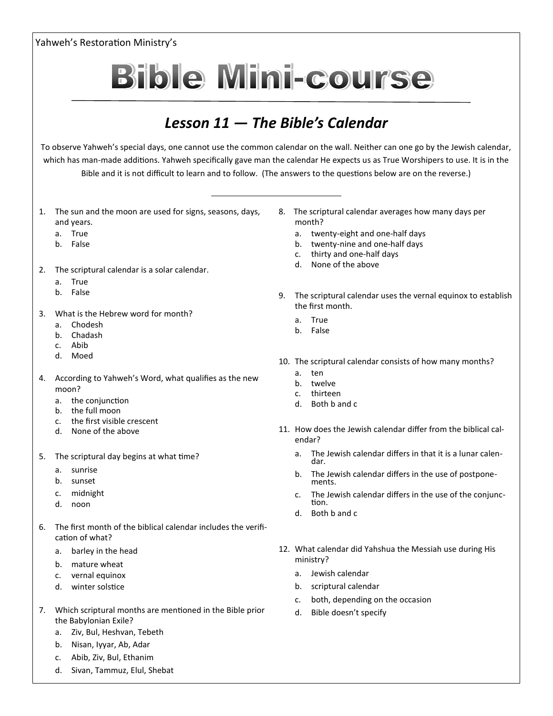

- d. Moed
- 4. According to Yahweh's Word, what qualifies as the new moon?
	- a. the conjunction
	- b. the full moon
	- c. the first visible crescent
	- d. None of the above
- 5. The scriptural day begins at what time?
	- a. sunrise
	- b. sunset
	- c. midnight
	- d. noon
- 6. The first month of the biblical calendar includes the verification of what?
	- a. barley in the head
	- b. mature wheat
	- c. vernal equinox
	- d. winter solstice
- 7. Which scriptural months are mentioned in the Bible prior the Babylonian Exile?
	- a. Ziv, Bul, Heshvan, Tebeth
	- b. Nisan, Iyyar, Ab, Adar
	- c. Abib, Ziv, Bul, Ethanim
	- d. Sivan, Tammuz, Elul, Shebat
- 10. The scriptural calendar consists of how many months?
	- a. ten
	- b. twelve
	- c. thirteen
	- d. Both b and c
- 11. How does the Jewish calendar differ from the biblical calendar?
	- a. The Jewish calendar differs in that it is a lunar calendar.
	- b. The Jewish calendar differs in the use of postponements.
	- c. The Jewish calendar differs in the use of the conjunction.
	- d. Both b and c
- 12. What calendar did Yahshua the Messiah use during His ministry?
	- a. Jewish calendar
	- b. scriptural calendar
	- c. both, depending on the occasion
	- d. Bible doesn't specify